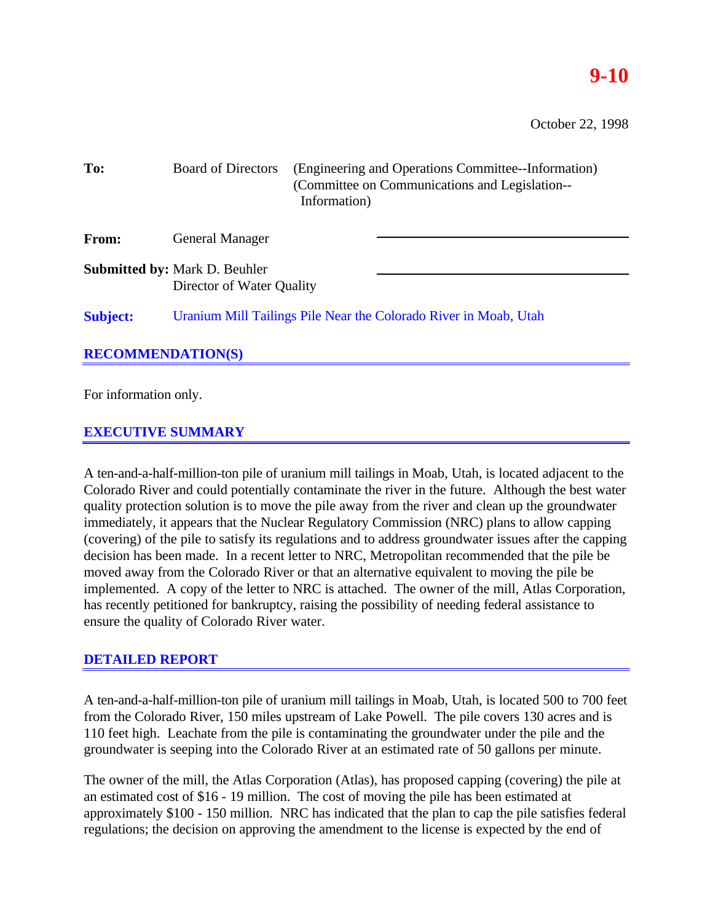# **9-10**

October 22, 1998

| To:                      | <b>Board of Directors</b>                                         | (Engineering and Operations Committee--Information)<br>(Committee on Communications and Legislation--<br>Information) |  |
|--------------------------|-------------------------------------------------------------------|-----------------------------------------------------------------------------------------------------------------------|--|
| <b>From:</b>             | <b>General Manager</b>                                            |                                                                                                                       |  |
|                          | <b>Submitted by: Mark D. Beuhler</b><br>Director of Water Quality |                                                                                                                       |  |
| <b>Subject:</b>          | Uranium Mill Tailings Pile Near the Colorado River in Moab, Utah  |                                                                                                                       |  |
| <b>RECOMMENDATION(S)</b> |                                                                   |                                                                                                                       |  |
|                          |                                                                   |                                                                                                                       |  |

For information only.

# **EXECUTIVE SUMMARY**

A ten-and-a-half-million-ton pile of uranium mill tailings in Moab, Utah, is located adjacent to the Colorado River and could potentially contaminate the river in the future. Although the best water quality protection solution is to move the pile away from the river and clean up the groundwater immediately, it appears that the Nuclear Regulatory Commission (NRC) plans to allow capping (covering) of the pile to satisfy its regulations and to address groundwater issues after the capping decision has been made. In a recent letter to NRC, Metropolitan recommended that the pile be moved away from the Colorado River or that an alternative equivalent to moving the pile be implemented. A copy of the letter to NRC is attached. The owner of the mill, Atlas Corporation, has recently petitioned for bankruptcy, raising the possibility of needing federal assistance to ensure the quality of Colorado River water.

# **DETAILED REPORT**

A ten-and-a-half-million-ton pile of uranium mill tailings in Moab, Utah, is located 500 to 700 feet from the Colorado River, 150 miles upstream of Lake Powell. The pile covers 130 acres and is 110 feet high. Leachate from the pile is contaminating the groundwater under the pile and the groundwater is seeping into the Colorado River at an estimated rate of 50 gallons per minute.

The owner of the mill, the Atlas Corporation (Atlas), has proposed capping (covering) the pile at an estimated cost of \$16 - 19 million. The cost of moving the pile has been estimated at approximately \$100 - 150 million. NRC has indicated that the plan to cap the pile satisfies federal regulations; the decision on approving the amendment to the license is expected by the end of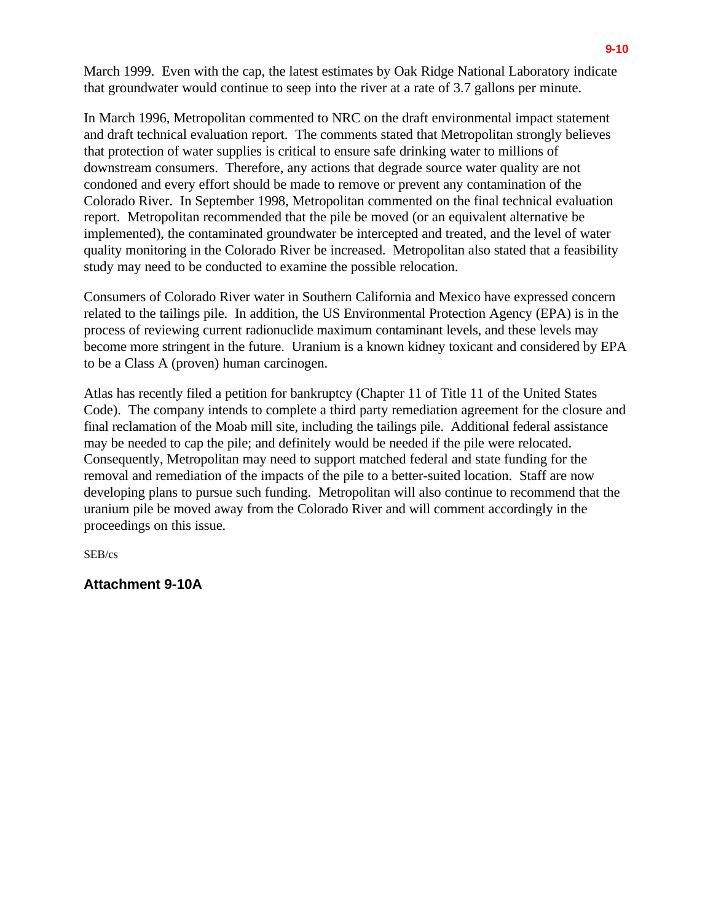March 1999. Even with the cap, the latest estimates by Oak Ridge National Laboratory indicate that groundwater would continue to seep into the river at a rate of 3.7 gallons per minute.

In March 1996, Metropolitan commented to NRC on the draft environmental impact statement and draft technical evaluation report. The comments stated that Metropolitan strongly believes that protection of water supplies is critical to ensure safe drinking water to millions of downstream consumers. Therefore, any actions that degrade source water quality are not condoned and every effort should be made to remove or prevent any contamination of the Colorado River. In September 1998, Metropolitan commented on the final technical evaluation report. Metropolitan recommended that the pile be moved (or an equivalent alternative be implemented), the contaminated groundwater be intercepted and treated, and the level of water quality monitoring in the Colorado River be increased. Metropolitan also stated that a feasibility study may need to be conducted to examine the possible relocation.

Consumers of Colorado River water in Southern California and Mexico have expressed concern related to the tailings pile. In addition, the US Environmental Protection Agency (EPA) is in the process of reviewing current radionuclide maximum contaminant levels, and these levels may become more stringent in the future. Uranium is a known kidney toxicant and considered by EPA to be a Class A (proven) human carcinogen.

Atlas has recently filed a petition for bankruptcy (Chapter 11 of Title 11 of the United States Code). The company intends to complete a third party remediation agreement for the closure and final reclamation of the Moab mill site, including the tailings pile. Additional federal assistance may be needed to cap the pile; and definitely would be needed if the pile were relocated. Consequently, Metropolitan may need to support matched federal and state funding for the removal and remediation of the impacts of the pile to a better-suited location. Staff are now developing plans to pursue such funding. Metropolitan will also continue to recommend that the uranium pile be moved away from the Colorado River and will comment accordingly in the proceedings on this issue.

SEB/cs

# **Attachment 9-10A**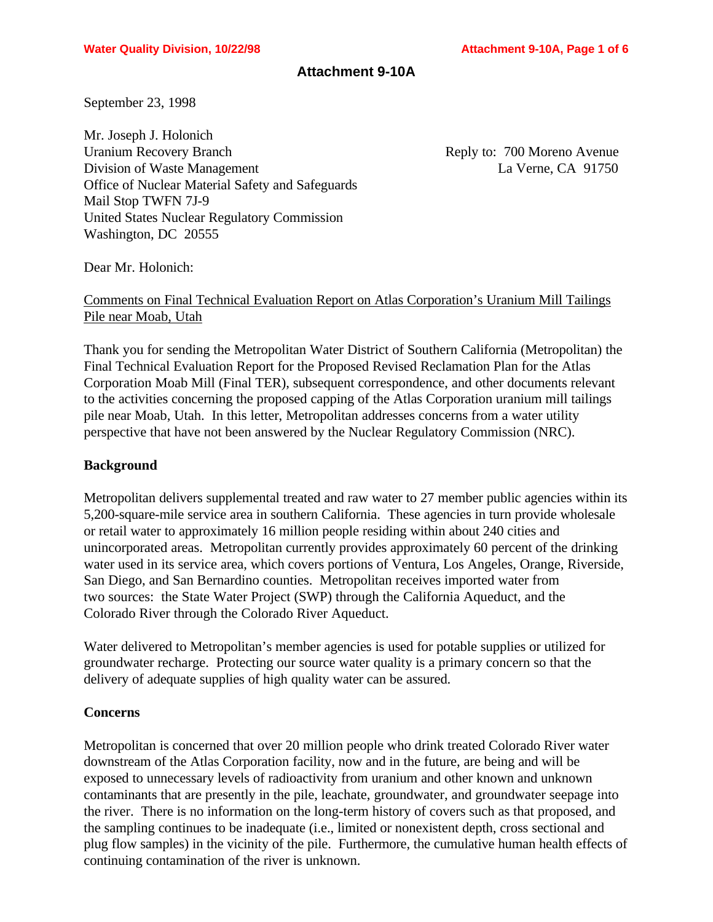## **Attachment 9-10A**

September 23, 1998

Mr. Joseph J. Holonich Uranium Recovery Branch Reply to: 700 Moreno Avenue Division of Waste Management La Verne, CA 91750 Office of Nuclear Material Safety and Safeguards Mail Stop TWFN 7J-9 United States Nuclear Regulatory Commission Washington, DC 20555

Dear Mr. Holonich:

Comments on Final Technical Evaluation Report on Atlas Corporation's Uranium Mill Tailings Pile near Moab, Utah

Thank you for sending the Metropolitan Water District of Southern California (Metropolitan) the Final Technical Evaluation Report for the Proposed Revised Reclamation Plan for the Atlas Corporation Moab Mill (Final TER), subsequent correspondence, and other documents relevant to the activities concerning the proposed capping of the Atlas Corporation uranium mill tailings pile near Moab, Utah. In this letter, Metropolitan addresses concerns from a water utility perspective that have not been answered by the Nuclear Regulatory Commission (NRC).

## **Background**

Metropolitan delivers supplemental treated and raw water to 27 member public agencies within its 5,200-square-mile service area in southern California. These agencies in turn provide wholesale or retail water to approximately 16 million people residing within about 240 cities and unincorporated areas. Metropolitan currently provides approximately 60 percent of the drinking water used in its service area, which covers portions of Ventura, Los Angeles, Orange, Riverside, San Diego, and San Bernardino counties. Metropolitan receives imported water from two sources: the State Water Project (SWP) through the California Aqueduct, and the Colorado River through the Colorado River Aqueduct.

Water delivered to Metropolitan's member agencies is used for potable supplies or utilized for groundwater recharge. Protecting our source water quality is a primary concern so that the delivery of adequate supplies of high quality water can be assured.

## **Concerns**

Metropolitan is concerned that over 20 million people who drink treated Colorado River water downstream of the Atlas Corporation facility, now and in the future, are being and will be exposed to unnecessary levels of radioactivity from uranium and other known and unknown contaminants that are presently in the pile, leachate, groundwater, and groundwater seepage into the river. There is no information on the long-term history of covers such as that proposed, and the sampling continues to be inadequate (i.e., limited or nonexistent depth, cross sectional and plug flow samples) in the vicinity of the pile. Furthermore, the cumulative human health effects of continuing contamination of the river is unknown.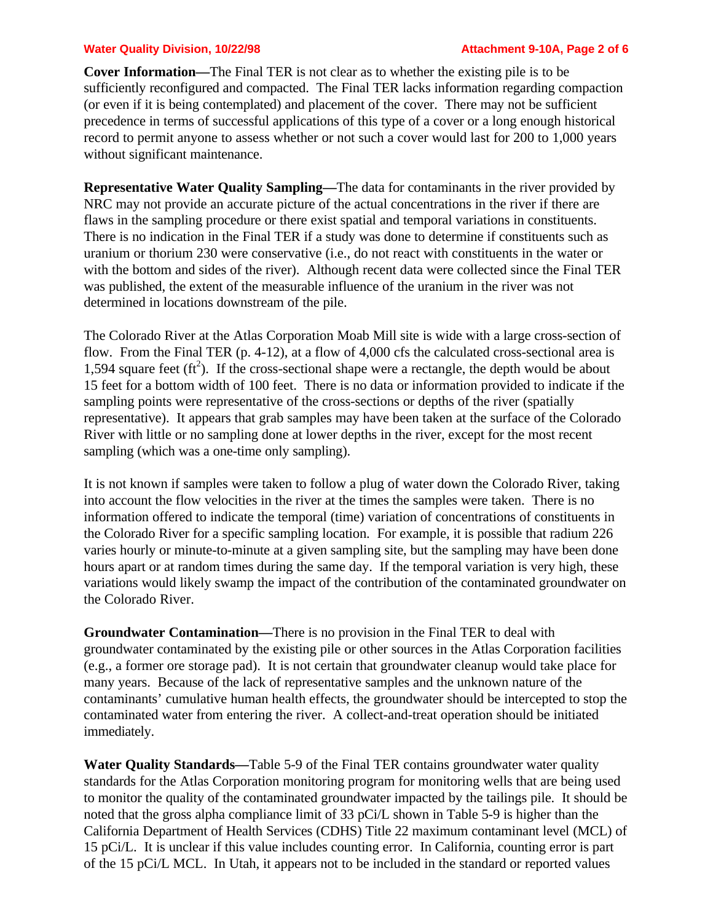#### **Water Quality Division, 10/22/98 Attachment 9-10A, Page 2 of 6**

**Cover Information—**The Final TER is not clear as to whether the existing pile is to be sufficiently reconfigured and compacted. The Final TER lacks information regarding compaction (or even if it is being contemplated) and placement of the cover. There may not be sufficient precedence in terms of successful applications of this type of a cover or a long enough historical record to permit anyone to assess whether or not such a cover would last for 200 to 1,000 years without significant maintenance.

**Representative Water Quality Sampling—**The data for contaminants in the river provided by NRC may not provide an accurate picture of the actual concentrations in the river if there are flaws in the sampling procedure or there exist spatial and temporal variations in constituents. There is no indication in the Final TER if a study was done to determine if constituents such as uranium or thorium 230 were conservative (i.e., do not react with constituents in the water or with the bottom and sides of the river). Although recent data were collected since the Final TER was published, the extent of the measurable influence of the uranium in the river was not determined in locations downstream of the pile.

The Colorado River at the Atlas Corporation Moab Mill site is wide with a large cross-section of flow. From the Final TER (p. 4-12), at a flow of 4,000 cfs the calculated cross-sectional area is 1,594 square feet  $(tf<sup>2</sup>)$ . If the cross-sectional shape were a rectangle, the depth would be about 15 feet for a bottom width of 100 feet. There is no data or information provided to indicate if the sampling points were representative of the cross-sections or depths of the river (spatially representative). It appears that grab samples may have been taken at the surface of the Colorado River with little or no sampling done at lower depths in the river, except for the most recent sampling (which was a one-time only sampling).

It is not known if samples were taken to follow a plug of water down the Colorado River, taking into account the flow velocities in the river at the times the samples were taken. There is no information offered to indicate the temporal (time) variation of concentrations of constituents in the Colorado River for a specific sampling location. For example, it is possible that radium 226 varies hourly or minute-to-minute at a given sampling site, but the sampling may have been done hours apart or at random times during the same day. If the temporal variation is very high, these variations would likely swamp the impact of the contribution of the contaminated groundwater on the Colorado River.

**Groundwater Contamination—**There is no provision in the Final TER to deal with groundwater contaminated by the existing pile or other sources in the Atlas Corporation facilities (e.g., a former ore storage pad). It is not certain that groundwater cleanup would take place for many years. Because of the lack of representative samples and the unknown nature of the contaminants' cumulative human health effects, the groundwater should be intercepted to stop the contaminated water from entering the river. A collect-and-treat operation should be initiated immediately.

**Water Quality Standards—**Table 5-9 of the Final TER contains groundwater water quality standards for the Atlas Corporation monitoring program for monitoring wells that are being used to monitor the quality of the contaminated groundwater impacted by the tailings pile. It should be noted that the gross alpha compliance limit of 33 pCi/L shown in Table 5-9 is higher than the California Department of Health Services (CDHS) Title 22 maximum contaminant level (MCL) of 15 pCi/L. It is unclear if this value includes counting error. In California, counting error is part of the 15 pCi/L MCL. In Utah, it appears not to be included in the standard or reported values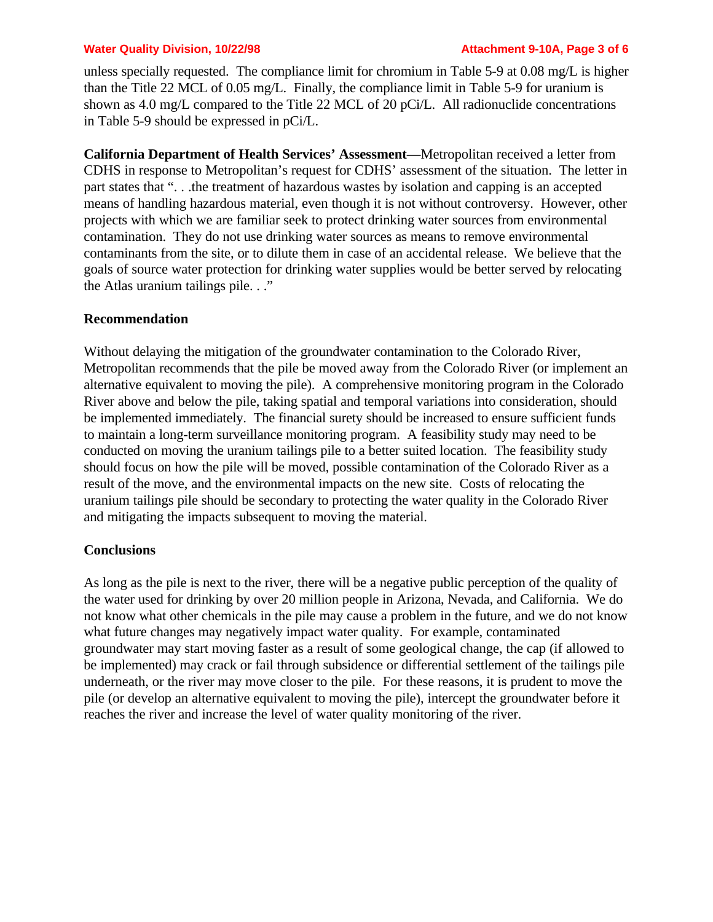#### **Water Quality Division, 10/22/98 Attachment 9-10A, Page 3 of 6**

unless specially requested. The compliance limit for chromium in Table 5-9 at 0.08 mg/L is higher than the Title 22 MCL of 0.05 mg/L. Finally, the compliance limit in Table 5-9 for uranium is shown as 4.0 mg/L compared to the Title 22 MCL of 20 pCi/L. All radionuclide concentrations in Table 5-9 should be expressed in pCi/L.

**California Department of Health Services' Assessment—**Metropolitan received a letter from CDHS in response to Metropolitan's request for CDHS' assessment of the situation. The letter in part states that ". . .the treatment of hazardous wastes by isolation and capping is an accepted means of handling hazardous material, even though it is not without controversy. However, other projects with which we are familiar seek to protect drinking water sources from environmental contamination. They do not use drinking water sources as means to remove environmental contaminants from the site, or to dilute them in case of an accidental release. We believe that the goals of source water protection for drinking water supplies would be better served by relocating the Atlas uranium tailings pile. . ."

### **Recommendation**

Without delaying the mitigation of the groundwater contamination to the Colorado River, Metropolitan recommends that the pile be moved away from the Colorado River (or implement an alternative equivalent to moving the pile). A comprehensive monitoring program in the Colorado River above and below the pile, taking spatial and temporal variations into consideration, should be implemented immediately. The financial surety should be increased to ensure sufficient funds to maintain a long-term surveillance monitoring program. A feasibility study may need to be conducted on moving the uranium tailings pile to a better suited location. The feasibility study should focus on how the pile will be moved, possible contamination of the Colorado River as a result of the move, and the environmental impacts on the new site. Costs of relocating the uranium tailings pile should be secondary to protecting the water quality in the Colorado River and mitigating the impacts subsequent to moving the material.

#### **Conclusions**

As long as the pile is next to the river, there will be a negative public perception of the quality of the water used for drinking by over 20 million people in Arizona, Nevada, and California. We do not know what other chemicals in the pile may cause a problem in the future, and we do not know what future changes may negatively impact water quality. For example, contaminated groundwater may start moving faster as a result of some geological change, the cap (if allowed to be implemented) may crack or fail through subsidence or differential settlement of the tailings pile underneath, or the river may move closer to the pile. For these reasons, it is prudent to move the pile (or develop an alternative equivalent to moving the pile), intercept the groundwater before it reaches the river and increase the level of water quality monitoring of the river.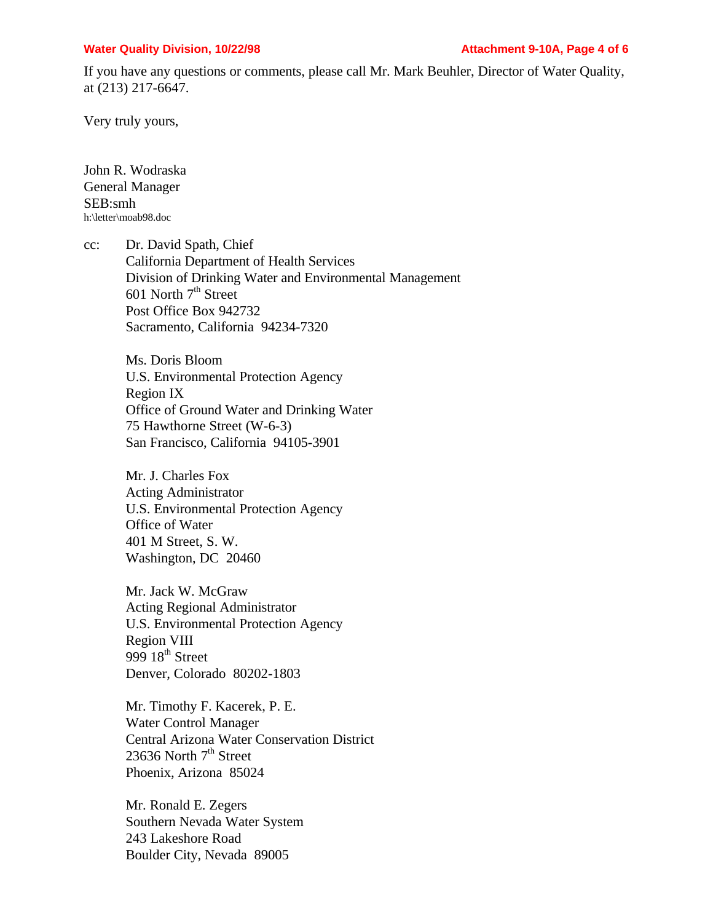#### **Water Quality Division, 10/22/98 Attachment 9-10A, Page 4 of 6**

If you have any questions or comments, please call Mr. Mark Beuhler, Director of Water Quality, at (213) 217-6647.

Very truly yours,

John R. Wodraska General Manager SEB:smh h:\letter\moab98.doc

cc: Dr. David Spath, Chief California Department of Health Services Division of Drinking Water and Environmental Management 601 North  $7<sup>th</sup>$  Street Post Office Box 942732 Sacramento, California 94234-7320

> Ms. Doris Bloom U.S. Environmental Protection Agency Region IX Office of Ground Water and Drinking Water 75 Hawthorne Street (W-6-3) San Francisco, California 94105-3901

Mr. J. Charles Fox Acting Administrator U.S. Environmental Protection Agency Office of Water 401 M Street, S. W. Washington, DC 20460

Mr. Jack W. McGraw Acting Regional Administrator U.S. Environmental Protection Agency Region VIII 999  $18<sup>th</sup>$  Street Denver, Colorado 80202-1803

Mr. Timothy F. Kacerek, P. E. Water Control Manager Central Arizona Water Conservation District 23636 North  $7<sup>th</sup>$  Street Phoenix, Arizona 85024

Mr. Ronald E. Zegers Southern Nevada Water System 243 Lakeshore Road Boulder City, Nevada 89005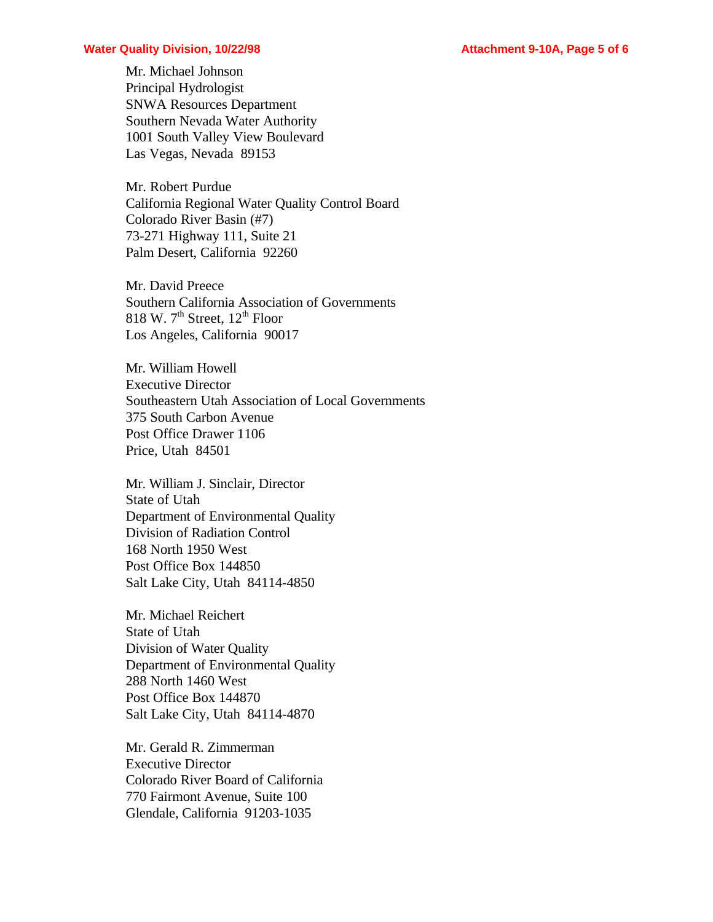#### **Water Quality Division, 10/22/98 Attachment 9-10A, Page 5 of 6**

Mr. Michael Johnson Principal Hydrologist SNWA Resources Department Southern Nevada Water Authority 1001 South Valley View Boulevard Las Vegas, Nevada 89153

Mr. Robert Purdue California Regional Water Quality Control Board Colorado River Basin (#7) 73-271 Highway 111, Suite 21 Palm Desert, California 92260

Mr. David Preece Southern California Association of Governments 818 W.  $7<sup>th</sup>$  Street,  $12<sup>th</sup>$  Floor Los Angeles, California 90017

Mr. William Howell Executive Director Southeastern Utah Association of Local Governments 375 South Carbon Avenue Post Office Drawer 1106 Price, Utah 84501

Mr. William J. Sinclair, Director State of Utah Department of Environmental Quality Division of Radiation Control 168 North 1950 West Post Office Box 144850 Salt Lake City, Utah 84114-4850

Mr. Michael Reichert State of Utah Division of Water Quality Department of Environmental Quality 288 North 1460 West Post Office Box 144870 Salt Lake City, Utah 84114-4870

Mr. Gerald R. Zimmerman Executive Director Colorado River Board of California 770 Fairmont Avenue, Suite 100 Glendale, California 91203-1035